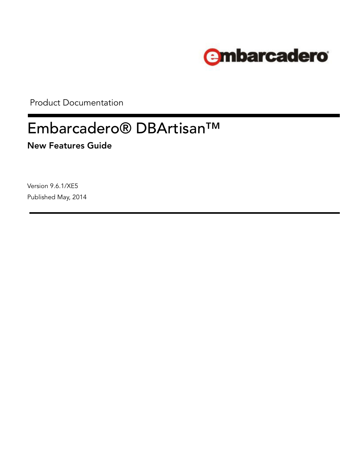

Product Documentation

# Embarcadero® DBArtisan™

**New Features Guide**

Version 9.6.1/XE5 Published May, 2014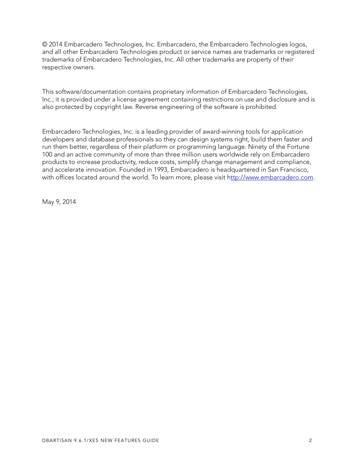© 2014 Embarcadero Technologies, Inc. Embarcadero, the Embarcadero Technologies logos, and all other Embarcadero Technologies product or service names are trademarks or registered trademarks of Embarcadero Technologies, Inc. All other trademarks are property of their respective owners.

This software/documentation contains proprietary information of Embarcadero Technologies, Inc.; it is provided under a license agreement containing restrictions on use and disclosure and is also protected by copyright law. Reverse engineering of the software is prohibited.

Embarcadero Technologies, Inc. is a leading provider of award-winning tools for application developers and database professionals so they can design systems right, build them faster and run them better, regardless of their platform or programming language. Ninety of the Fortune 100 and an active community of more than three million users worldwide rely on Embarcadero products to increase productivity, reduce costs, simplify change management and compliance, and accelerate innovation. Founded in 1993, Embarcadero is headquartered in San Francisco, with offices located around the world. To learn more, please visit h[ttp://www.embarcadero.com](http://www.embarcadero.com).

May 9, 2014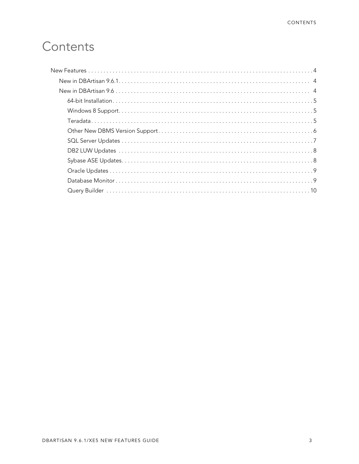## Contents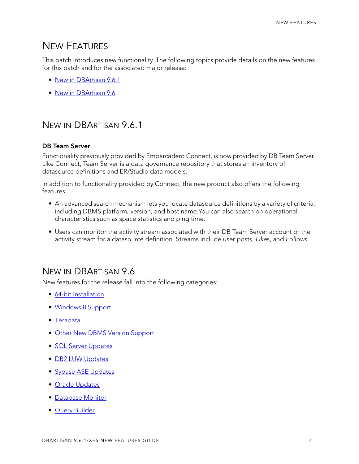## <span id="page-3-0"></span>NEW FEATURES

This patch introduces new functionality. The following topics provide details on the new features for this patch and for the associated major release:

- [New in DBArtisan 9.6.1](#page-3-1)
- [New in DBArtisan 9.6.](#page-3-2)

## <span id="page-3-1"></span>NEW IN DBARTISAN 9.6.1

#### **DB Team Server**

Functionality previously provided by Embarcadero Connect, is now provided by DB Team Server. Like Connect, Team Server is a data governance repository that stores an inventory of datasource definitions and ER/Studio data models.

In addition to functionality provided by Connect, the new product also offers the following features:

- An advanced search mechanism lets you locate datasource definitions by a variety of criteria, including DBMS platform, version, and host name.You can also search on operational characteristics such as space statistics and ping time.
- Users can monitor the activity stream associated with their DB Team Server account or the activity stream for a datasource definition. Streams include user posts, *Like*s, and *Follow*s.

### <span id="page-3-2"></span>NEW IN DBARTISAN 9.6

New features for the release fall into the following categories:

- [64-bit Installation](#page-4-0)
- [Windows 8 Support](#page-4-1)
- [Teradata](#page-4-2)
- [Other New DBMS Version Support](#page-5-0)
- [SQL Server Updates](#page-6-0)
- [DB2 LUW Updates](#page-7-0)
- [Sybase ASE Updates](#page-7-1)
- [Oracle Updates](#page-8-0)
- [Database Monitor](#page-8-1)
- [Query Builder](#page-9-0).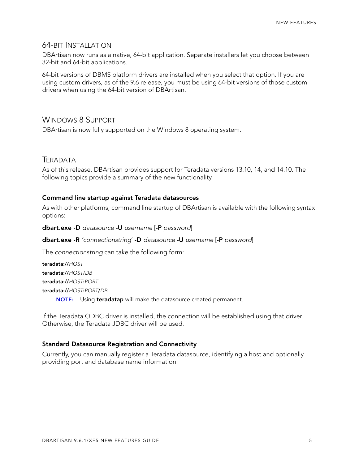#### <span id="page-4-0"></span>64-BIT INSTALLATION

DBArtisan now runs as a native, 64-bit application. Separate installers let you choose between 32-bit and 64-bit applications.

64-bit versions of DBMS platform drivers are installed when you select that option. If you are using custom drivers, as of the 9.6 release, you must be using 64-bit versions of those custom drivers when using the 64-bit version of DBArtisan.

#### <span id="page-4-1"></span>WINDOWS 8 SUPPORT

DBArtisan is now fully supported on the Windows 8 operating system.

#### <span id="page-4-2"></span>**TERADATA**

As of this release, DBArtisan provides support for Teradata versions 13.10, 14, and 14.10. The following topics provide a summary of the new functionality.

#### **Command line startup against Teradata datasources**

As with other platforms, command line startup of DBArtisan is available with the following syntax options:

**dbart.exe -D** *datasource* **-U** *username* [**-P** *password*]

#### **dbart.exe -R** *'connectionstring*' **-D** *datasource* **-U** *username* [**-P** *password*]

The *connectionstring* can take the following form:

**teradata://***HOST* **teradata://***HOST*/*DB* **teradata://***HOST***:***PORT* **teradata://***HOST***:***PORT***/***DB* **NOTE:** Using **teradatap** will make the datasource created permanent.

If the Teradata ODBC driver is installed, the connection will be established using that driver. Otherwise, the Teradata JDBC driver will be used.

#### **Standard Datasource Registration and Connectivity**

Currently, you can manually register a Teradata datasource, identifying a host and optionally providing port and database name information.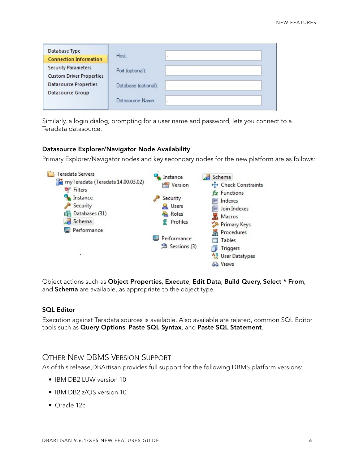| Database Type                   |                       |  |
|---------------------------------|-----------------------|--|
| <b>Connection Information</b>   | Host:                 |  |
| <b>Security Parameters</b>      | Port (optional):      |  |
| <b>Custom Driver Properties</b> |                       |  |
| <b>Datasource Properties</b>    | Database (optional):  |  |
| Datasource Group                |                       |  |
|                                 | Datasource Name:<br>٠ |  |
|                                 |                       |  |

Similarly, a login dialog, prompting for a user name and password, lets you connect to a Teradata datasource.

#### **Datasource Explorer/Navigator Node Availability**

Primary Explorer/Navigator nodes and key secondary nodes for the new platform are as follows:



Object actions such as **Object Properties**, **Execute**, **Edit Data**, **Build Query**, **Select \* From**, and **Schema** are available, as appropriate to the object type.

#### **SQL Editor**

Execution against Teradata sources is available. Also available are related, common SQL Editor tools such as **Query Options**, **Paste SQL Syntax**, and **Paste SQL Statement**.

#### <span id="page-5-0"></span>OTHER NEW DBMS VERSION SUPPORT

As of this release,DBArtisan provides full support for the following DBMS platform versions:

- IBM DB2 LUW version 10
- IBM DB2 z/OS version 10
- Oracle 12c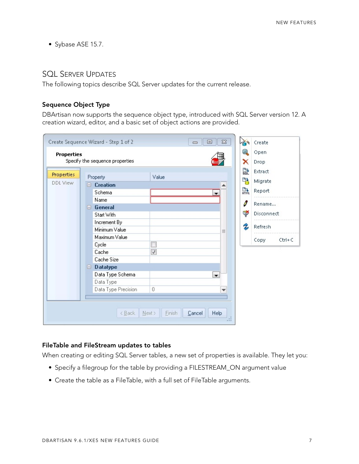• Sybase ASE 15.7.

#### <span id="page-6-0"></span>SQL SERVER UPDATES

The following topics describe SQL Server updates for the current release.

#### **Sequence Object Type**

DBArtisan now supports the sequence object type, introduced with SQL Server version 12. A creation wizard, editor, and a basic set of object actions are provided.

|                   |    | Create Sequence Wizard - Step 1 of 2 |                          | $\Sigma$<br>叵            |     | Create             |
|-------------------|----|--------------------------------------|--------------------------|--------------------------|-----|--------------------|
| <b>Properties</b> |    |                                      |                          |                          | Θ   | Open               |
|                   |    | Specify the sequence properties      |                          |                          | x   | Drop               |
| Properties        |    |                                      |                          |                          | 먎   | Extract            |
| DDL View          |    | <b>Property</b>                      | Value                    |                          | 먭   | Migrate            |
|                   | E. | <b>Creation</b>                      |                          |                          |     |                    |
|                   |    | Schema                               |                          | ▼                        | ņу. | Report             |
|                   |    | Name                                 |                          |                          | d   | Rename             |
|                   |    | $\Box$ General                       |                          |                          |     |                    |
|                   |    | Start With                           |                          |                          | ₹   | Disconnect         |
|                   |    | Increment By                         |                          |                          |     |                    |
|                   |    | Minimum Value                        |                          | $\equiv$                 | 2   | Refresh            |
|                   |    | Maximum Value                        |                          |                          |     | Copy<br>$Ctrl + C$ |
|                   |    | Cycle                                |                          |                          |     |                    |
|                   |    | Cache                                | $\sqrt{ }$               |                          |     |                    |
|                   |    | Cache Size                           |                          |                          |     |                    |
|                   | Θ. | <b>Datatype</b>                      |                          |                          |     |                    |
|                   |    | Data Type Schema                     |                          | $\overline{\phantom{a}}$ |     |                    |
|                   |    | Data Type                            |                          |                          |     |                    |
|                   |    | Data Type Precision                  | 0                        | ▼                        |     |                    |
|                   |    |                                      |                          |                          |     |                    |
|                   |    | < Back                               | Next<br>Einish<br>Cancel | Help<br>$\mathbf{r}$     |     |                    |

#### **FileTable and FileStream updates to tables**

When creating or editing SQL Server tables, a new set of properties is available. They let you:

- Specify a filegroup for the table by providing a FILESTREAM\_ON argument value
- Create the table as a FileTable, with a full set of FileTable arguments.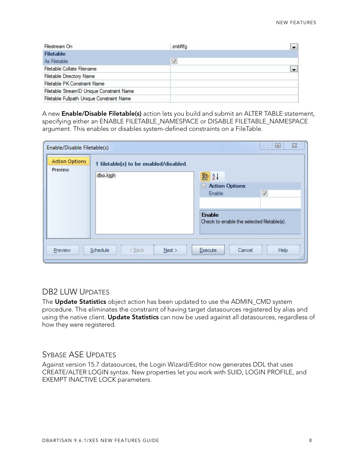| Filestream On                             | zmbftfg              |  |
|-------------------------------------------|----------------------|--|
| <b>Filetable</b>                          |                      |  |
| As Filetable                              | $\blacktriangledown$ |  |
| Filetable Collate Filename                |                      |  |
| <b>Filetable Directory Name</b>           |                      |  |
| Filetable PK Constraint Name              |                      |  |
| Filetable StreamID Unique Constraint Name |                      |  |
| Filetable Fullpath Unique Constraint Name |                      |  |

A new **Enable/Disable Filetable(s)** action lets you build and submit an ALTER TABLE statement, specifying either an ENABLE FILETABLE\_NAMESPACE or DISABLE FILETABLE\_NAMESPACE argument. This enables or disables system-defined constraints on a FileTable.

| Enable/Disable Filetable(s)      |                                                    | $\Sigma$<br>回<br>$\Box$                                                                      |
|----------------------------------|----------------------------------------------------|----------------------------------------------------------------------------------------------|
| <b>Action Options</b><br>Preview | 1 filetable(s) to be enabled/disabled.<br>dbo.kjgh | ■a↓<br><b>E</b> Action Options<br>$\blacktriangledown$<br>Enable                             |
| Preview                          | Schedule<br>$<$ Back<br>Next >                     | <b>Enable</b><br>Check to enable the selected filetable(s).<br>Help<br>Execute<br>Cancel<br> |

#### <span id="page-7-0"></span>DB2 LUW UPDATES

The **Update Statistics** object action has been updated to use the ADMIN\_CMD system procedure. This eliminates the constraint of having target datasources registered by alias and using the native client. **Update Statistics** can now be used against all datasources, regardless of how they were registered.

#### <span id="page-7-1"></span>SYBASE ASE UPDATES

Against version 15.7 datasources, the Login Wizard/Editor now generates DDL that uses CREATE/ALTER LOGIN syntax. New properties let you work with SUID, LOGIN PROFILE, and EXEMPT INACTIVE LOCK parameters.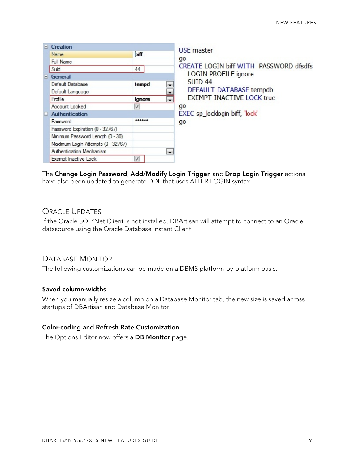| $\mathbf -$ | Creation                           |              |                          | USE master                             |
|-------------|------------------------------------|--------------|--------------------------|----------------------------------------|
|             | Name                               | biff         |                          |                                        |
|             | Full Name                          |              |                          | qo                                     |
|             | Suid                               | 44           |                          | CREATE LOGIN biff WITH PASSWORD dfsdfs |
| H.          | General                            |              |                          | <b>LOGIN PROFILE ignore</b>            |
|             | Default Database                   | tempd        |                          | <b>SUID 44</b>                         |
|             | Default Language                   |              | $\overline{\phantom{a}}$ | DEFAULT DATABASE tempdb                |
|             | Profile                            | ignore       | $\overline{\phantom{a}}$ | <b>EXEMPT INACTIVE LOCK true</b>       |
|             | Account Locked                     | V            |                          | go                                     |
| $\Box$      | <b>Authentication</b>              |              |                          | EXEC sp_locklogin biff, 'lock'         |
|             | Password                           | ******       |                          | go                                     |
|             | Password Expiration (0 - 32767)    |              |                          |                                        |
|             | Minimum Password Length (0 - 30)   |              |                          |                                        |
|             | Maximum Login Attempts (0 - 32767) |              |                          |                                        |
|             | Authentication Mechanism           |              | $\cdot$                  |                                        |
|             | Exempt Inactive Lock               | $\checkmark$ |                          |                                        |

The **Change Login Password**, **Add/Modify Login Trigger**, and **Drop Login Trigger** actions have also been updated to generate DDL that uses ALTER LOGIN syntax.

#### <span id="page-8-0"></span>ORACLE UPDATES

If the Oracle SQL\*Net Client is not installed, DBArtisan will attempt to connect to an Oracle datasource using the Oracle Database Instant Client.

#### <span id="page-8-1"></span>DATABASE MONITOR

The following customizations can be made on a DBMS platform-by-platform basis.

#### **Saved column-widths**

When you manually resize a column on a Database Monitor tab, the new size is saved across startups of DBArtisan and Database Monitor.

#### **Color-coding and Refresh Rate Customization**

The Options Editor now offers a **DB Monitor** page.